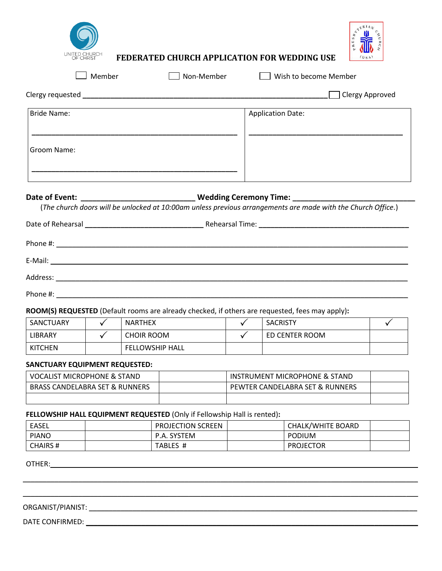

**FEDERATED CHURCH APPLICATION FOR WEDDING USE** 



□ Member Wish to become Member Clergy requested **\_\_\_\_\_\_\_\_\_\_\_\_\_\_\_\_\_\_\_\_\_\_\_\_\_\_\_\_\_\_\_\_\_\_\_\_\_\_\_\_\_\_\_\_\_\_\_\_\_\_\_\_\_\_\_\_\_\_\_\_\_\_** Clergy Approved Bride Name: **\_\_\_\_\_\_\_\_\_\_\_\_\_\_\_\_\_\_\_\_\_\_\_\_\_\_\_\_\_\_\_\_\_\_\_\_\_\_\_\_\_\_\_\_\_\_\_\_\_\_\_\_** Groom Name: **\_\_\_\_\_\_\_\_\_\_\_\_\_\_\_\_\_\_\_\_\_\_\_\_\_\_\_\_\_\_\_\_\_\_\_\_\_\_\_\_\_\_\_\_\_\_\_\_\_\_\_\_** Application Date: **\_\_\_\_\_\_\_\_\_\_\_\_\_\_\_\_\_\_\_\_\_\_\_\_\_\_\_\_\_\_\_\_\_\_\_\_\_\_\_ Date of Event: \_\_\_\_\_\_\_\_\_\_\_\_\_\_\_\_\_\_\_\_\_\_\_\_\_\_\_\_\_ Wedding Ceremony Time: \_\_\_\_\_\_\_\_\_\_\_\_\_\_\_\_\_\_\_\_\_\_\_\_\_\_\_\_\_\_\_**

(*The church doors will be unlocked at 10:00am unless previous arrangements are made with the Church Office.*)

| Phone #: |  |  |  |
|----------|--|--|--|

## **ROOM(S) REQUESTED** (Default rooms are already checked, if others are requested, fees may apply)**:**

| SANCTUARY | <b>NARTHEX</b>         | <b>SACRISTY</b> |  |
|-----------|------------------------|-----------------|--|
| LIBRARY   | CHOIR ROOM             | ED CENTER ROOM  |  |
| KITCHEN   | <b>FELLOWSHIP HALL</b> |                 |  |

### **SANCTUARY EQUIPMENT REQUESTED:**

| VOCALIST MICROPHONE & STAND               | INSTRUMENT MICROPHONE & STAND   |  |
|-------------------------------------------|---------------------------------|--|
| <b>BRASS CANDELABRA SET &amp; RUNNERS</b> | PEWTER CANDELABRA SET & RUNNERS |  |
|                                           |                                 |  |

## **FELLOWSHIP HALL EQUIPMENT REQUESTED** (Only if Fellowship Hall is rented)**:**

| EASEL           | <b>PROJECTION SCREEN</b> | <b>CHALK/WHITE BOARD</b> |
|-----------------|--------------------------|--------------------------|
| <b>PIANO</b>    | P.A. SYSTEM              | <b>PODIUM</b>            |
| <b>CHAIRS #</b> | TABLES #                 | <b>PROJECTOR</b>         |

\_\_\_\_\_\_\_\_\_\_\_\_\_\_\_\_\_\_\_\_\_\_\_\_\_\_\_\_\_\_\_\_\_\_\_\_\_\_\_\_\_\_\_\_\_\_\_\_\_\_\_\_\_\_\_\_\_\_\_\_\_\_\_\_\_\_\_\_\_\_\_\_\_\_\_\_\_\_\_\_\_\_\_\_\_\_\_\_\_\_\_\_\_\_\_\_\_\_\_\_

\_\_\_\_\_\_\_\_\_\_\_\_\_\_\_\_\_\_\_\_\_\_\_\_\_\_\_\_\_\_\_\_\_\_\_\_\_\_\_\_\_\_\_\_\_\_\_\_\_\_\_\_\_\_\_\_\_\_\_\_\_\_\_\_\_\_\_\_\_\_\_\_\_\_\_\_\_\_\_\_\_\_\_\_\_\_\_\_\_\_\_\_\_\_\_\_\_\_\_\_

OTHER:\_\_\_\_\_\_\_\_\_\_\_\_\_\_\_\_\_\_\_\_\_\_\_\_\_\_\_\_\_\_\_\_\_\_\_\_\_\_\_\_\_\_\_\_\_\_\_\_\_\_\_\_\_\_\_\_\_\_\_\_\_\_\_\_\_\_\_\_\_\_\_\_\_\_\_\_\_\_\_\_\_\_\_\_\_\_\_\_\_\_\_\_\_

# ORGANIST/PIANIST: \_\_\_\_\_\_\_\_\_\_\_\_\_\_\_\_\_\_\_\_\_\_\_\_\_\_\_\_\_\_\_\_\_\_\_\_\_\_\_\_\_\_\_\_\_\_\_\_\_\_\_\_\_\_\_\_\_\_\_\_\_\_\_\_\_\_\_\_\_\_\_\_\_\_\_\_\_\_\_\_\_\_\_

DATE CONFIRMED: \_\_\_\_\_\_\_\_\_\_\_\_\_\_\_\_\_\_\_\_\_\_\_\_\_\_\_\_\_\_\_\_\_\_\_\_\_\_\_\_\_\_\_\_\_\_\_\_\_\_\_\_\_\_\_\_\_\_\_\_\_\_\_\_\_\_\_\_\_\_\_\_\_\_\_\_\_\_\_\_\_\_\_\_